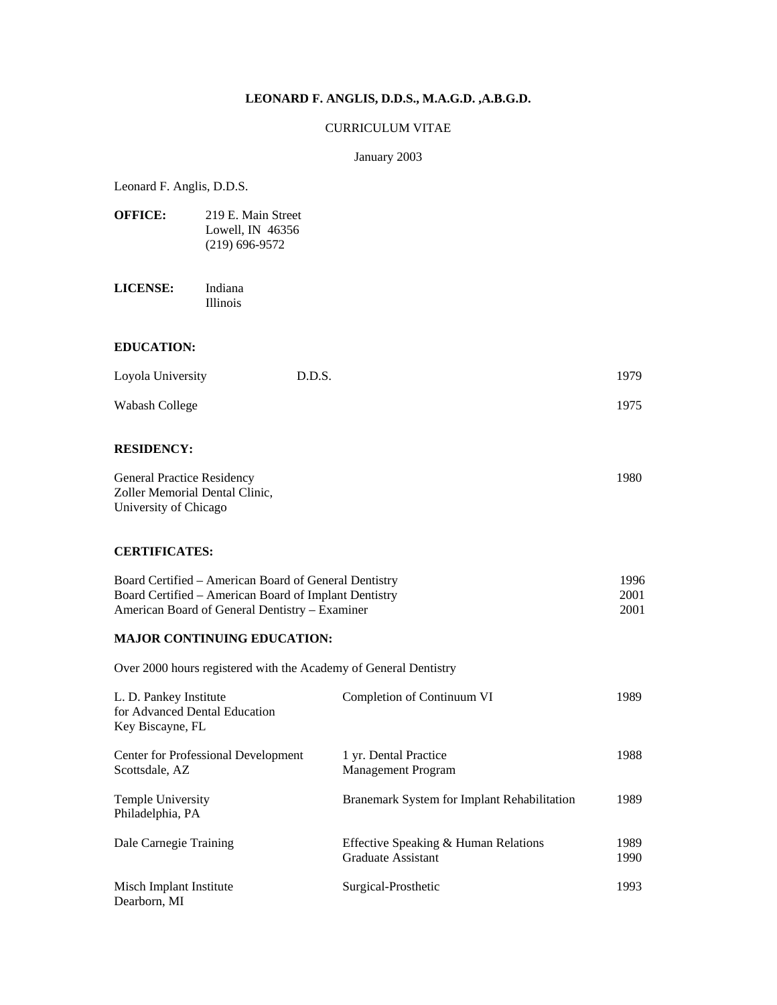## **LEONARD F. ANGLIS, D.D.S., M.A.G.D. ,A.B.G.D.**

### CURRICULUM VITAE

#### January 2003

Leonard F. Anglis, D.D.S.

| <b>OFFICE:</b> | 219 E. Main Street |
|----------------|--------------------|
|                | Lowell, IN $46356$ |
|                | $(219)$ 696-9572   |

**LICENSE:** Indiana Illinois

#### **EDUCATION:**

| Loyola University | D.D.S. | 1979 |
|-------------------|--------|------|
| Wabash College    |        | 1975 |

## **RESIDENCY:**

| <b>General Practice Residency</b> | 1980. |
|-----------------------------------|-------|
| Zoller Memorial Dental Clinic.    |       |
| University of Chicago             |       |

### **CERTIFICATES:**

| Board Certified – American Board of General Dentistry | 1996. |
|-------------------------------------------------------|-------|
| Board Certified – American Board of Implant Dentistry | 2001  |
| American Board of General Dentistry – Examiner        | 2001  |

#### **MAJOR CONTINUING EDUCATION:**

Over 2000 hours registered with the Academy of General Dentistry

| L. D. Pankey Institute<br>for Advanced Dental Education<br>Key Biscayne, FL | Completion of Continuum VI                                 | 1989         |
|-----------------------------------------------------------------------------|------------------------------------------------------------|--------------|
| Center for Professional Development<br>Scottsdale, AZ                       | 1 yr. Dental Practice<br><b>Management Program</b>         | 1988         |
| Temple University<br>Philadelphia, PA                                       | Branemark System for Implant Rehabilitation                | 1989         |
| Dale Carnegie Training                                                      | Effective Speaking & Human Relations<br>Graduate Assistant | 1989<br>1990 |
| Misch Implant Institute<br>Dearborn, MI                                     | Surgical-Prosthetic                                        | 1993         |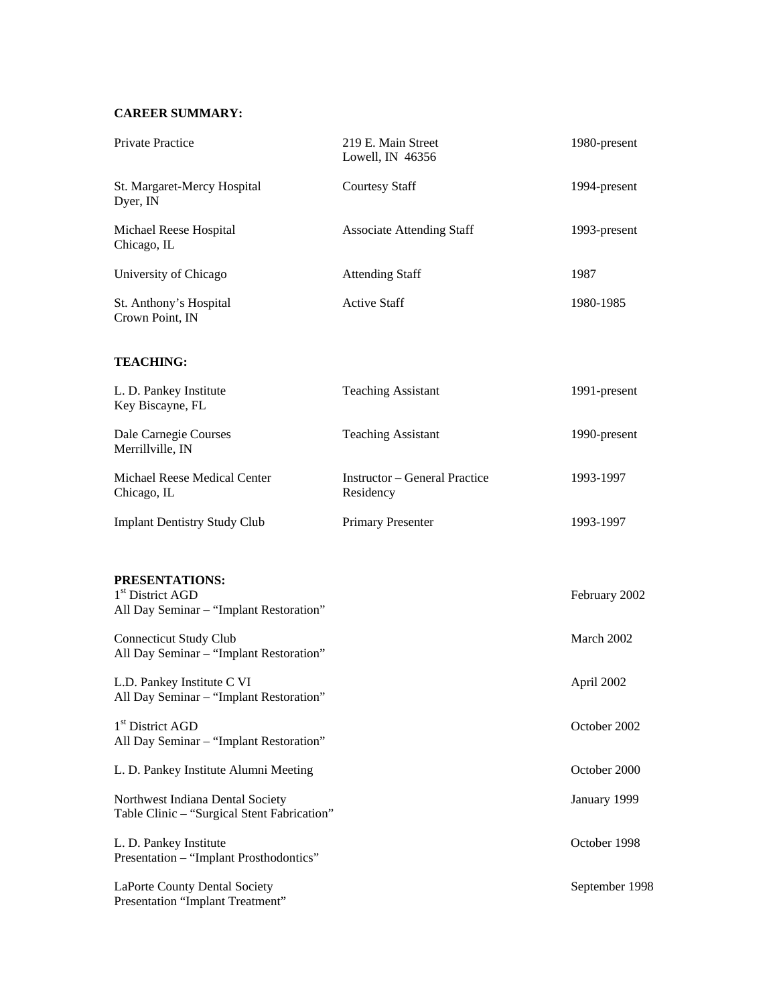# **CAREER SUMMARY:**

| Private Practice                                                                          | 219 E. Main Street<br>Lowell, IN 46356            | 1980-present   |
|-------------------------------------------------------------------------------------------|---------------------------------------------------|----------------|
| St. Margaret-Mercy Hospital<br>Dyer, IN                                                   | <b>Courtesy Staff</b>                             | 1994-present   |
| Michael Reese Hospital<br>Chicago, IL                                                     | <b>Associate Attending Staff</b>                  | 1993-present   |
| University of Chicago                                                                     | <b>Attending Staff</b>                            | 1987           |
| St. Anthony's Hospital<br>Crown Point, IN                                                 | <b>Active Staff</b>                               | 1980-1985      |
| <b>TEACHING:</b>                                                                          |                                                   |                |
| L. D. Pankey Institute<br>Key Biscayne, FL                                                | <b>Teaching Assistant</b>                         | 1991-present   |
| Dale Carnegie Courses<br>Merrillville, IN                                                 | <b>Teaching Assistant</b>                         | 1990-present   |
| Michael Reese Medical Center<br>Chicago, IL                                               | <b>Instructor – General Practice</b><br>Residency | 1993-1997      |
| <b>Implant Dentistry Study Club</b>                                                       | Primary Presenter                                 | 1993-1997      |
| PRESENTATIONS:<br>1 <sup>st</sup> District AGD<br>All Day Seminar - "Implant Restoration" |                                                   | February 2002  |
| <b>Connecticut Study Club</b><br>All Day Seminar - "Implant Restoration"                  |                                                   | March 2002     |
| L.D. Pankey Institute C VI<br>All Day Seminar - "Implant Restoration"                     |                                                   | April 2002     |
| 1 <sup>st</sup> District AGD<br>All Day Seminar - "Implant Restoration"                   |                                                   | October 2002   |
| L. D. Pankey Institute Alumni Meeting                                                     |                                                   | October 2000   |
| Northwest Indiana Dental Society<br>Table Clinic - "Surgical Stent Fabrication"           |                                                   | January 1999   |
| L. D. Pankey Institute<br>Presentation - "Implant Prosthodontics"                         |                                                   | October 1998   |
| LaPorte County Dental Society<br>Presentation "Implant Treatment"                         |                                                   | September 1998 |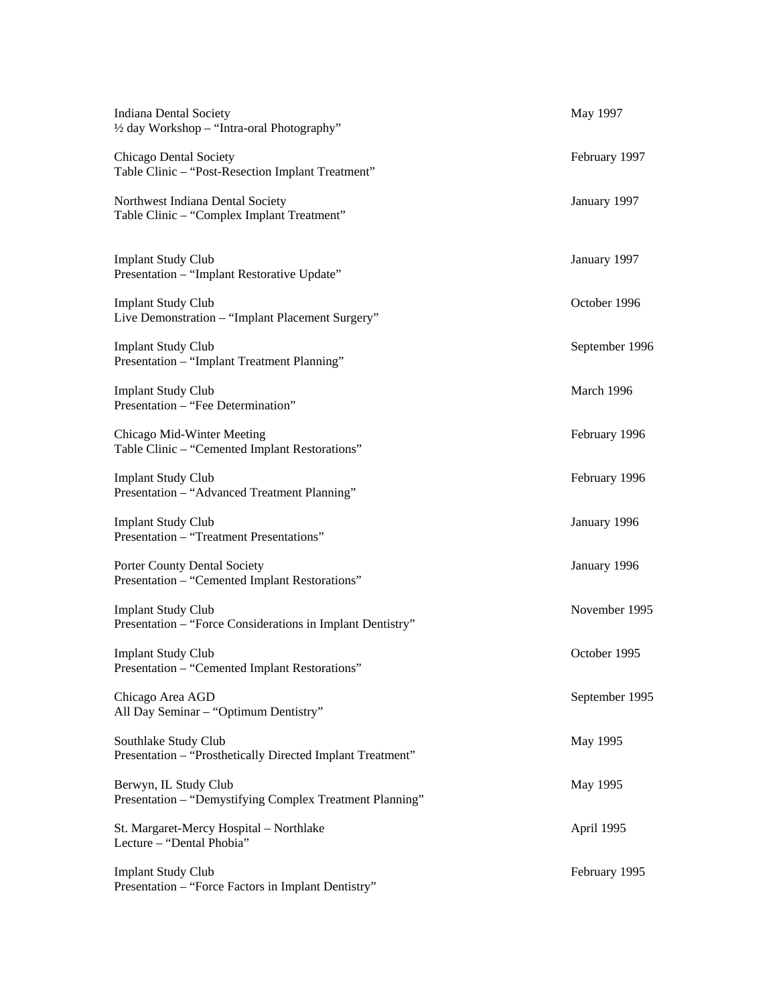| <b>Indiana Dental Society</b><br>1/2 day Workshop - "Intra-oral Photography"            | May 1997       |
|-----------------------------------------------------------------------------------------|----------------|
| Chicago Dental Society<br>Table Clinic - "Post-Resection Implant Treatment"             | February 1997  |
| Northwest Indiana Dental Society<br>Table Clinic - "Complex Implant Treatment"          | January 1997   |
| <b>Implant Study Club</b><br>Presentation - "Implant Restorative Update"                | January 1997   |
| <b>Implant Study Club</b><br>Live Demonstration - "Implant Placement Surgery"           | October 1996   |
| <b>Implant Study Club</b><br>Presentation - "Implant Treatment Planning"                | September 1996 |
| <b>Implant Study Club</b><br>Presentation - "Fee Determination"                         | March 1996     |
| Chicago Mid-Winter Meeting<br>Table Clinic - "Cemented Implant Restorations"            | February 1996  |
| <b>Implant Study Club</b><br>Presentation - "Advanced Treatment Planning"               | February 1996  |
| <b>Implant Study Club</b><br>Presentation - "Treatment Presentations"                   | January 1996   |
| Porter County Dental Society<br>Presentation - "Cemented Implant Restorations"          | January 1996   |
| <b>Implant Study Club</b><br>Presentation - "Force Considerations in Implant Dentistry" | November 1995  |
| <b>Implant Study Club</b><br>Presentation - "Cemented Implant Restorations"             | October 1995   |
| Chicago Area AGD<br>All Day Seminar - "Optimum Dentistry"                               | September 1995 |
| Southlake Study Club<br>Presentation - "Prosthetically Directed Implant Treatment"      | May 1995       |
| Berwyn, IL Study Club<br>Presentation - "Demystifying Complex Treatment Planning"       | May 1995       |
| St. Margaret-Mercy Hospital - Northlake<br>Lecture - "Dental Phobia"                    | April 1995     |
| <b>Implant Study Club</b><br>Presentation - "Force Factors in Implant Dentistry"        | February 1995  |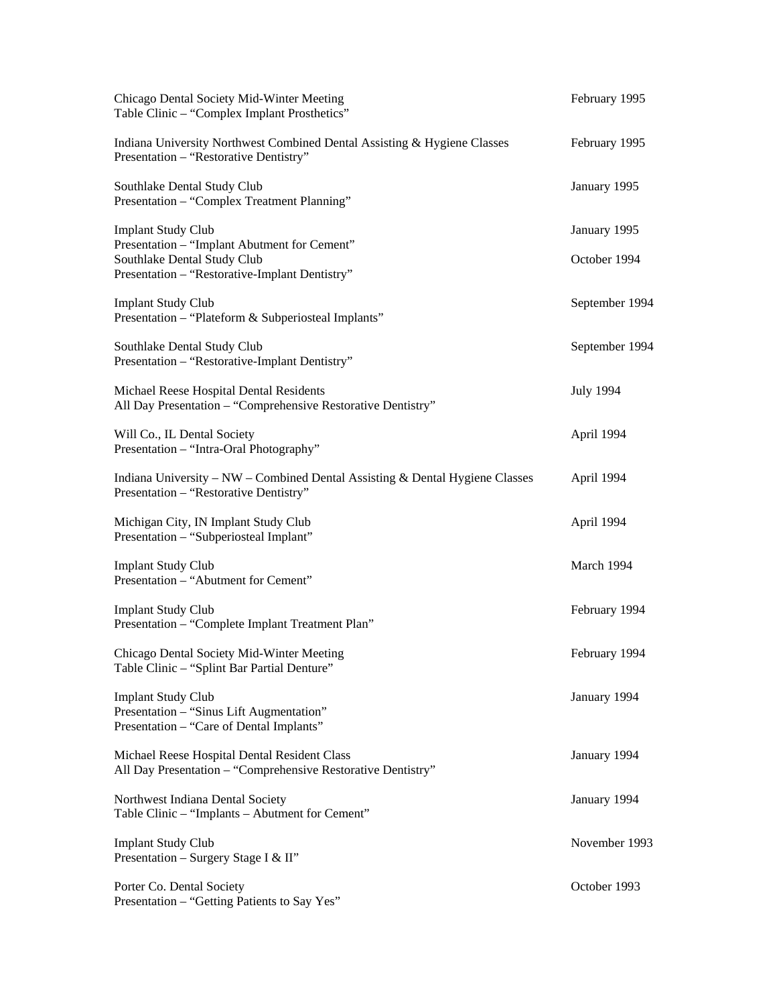| Chicago Dental Society Mid-Winter Meeting<br>Table Clinic - "Complex Implant Prosthetics"                              | February 1995    |
|------------------------------------------------------------------------------------------------------------------------|------------------|
| Indiana University Northwest Combined Dental Assisting & Hygiene Classes<br>Presentation - "Restorative Dentistry"     | February 1995    |
| Southlake Dental Study Club<br>Presentation - "Complex Treatment Planning"                                             | January 1995     |
| <b>Implant Study Club</b><br>Presentation - "Implant Abutment for Cement"                                              | January 1995     |
| Southlake Dental Study Club<br>Presentation - "Restorative-Implant Dentistry"                                          | October 1994     |
| <b>Implant Study Club</b><br>Presentation - "Plateform & Subperiosteal Implants"                                       | September 1994   |
| Southlake Dental Study Club<br>Presentation - "Restorative-Implant Dentistry"                                          | September 1994   |
| Michael Reese Hospital Dental Residents<br>All Day Presentation - "Comprehensive Restorative Dentistry"                | <b>July 1994</b> |
| Will Co., IL Dental Society<br>Presentation - "Intra-Oral Photography"                                                 | April 1994       |
| Indiana University - NW - Combined Dental Assisting & Dental Hygiene Classes<br>Presentation - "Restorative Dentistry" | April 1994       |
| Michigan City, IN Implant Study Club<br>Presentation - "Subperiosteal Implant"                                         | April 1994       |
| <b>Implant Study Club</b><br>Presentation - "Abutment for Cement"                                                      | March 1994       |
| <b>Implant Study Club</b><br>Presentation - "Complete Implant Treatment Plan"                                          | February 1994    |
| Chicago Dental Society Mid-Winter Meeting<br>Table Clinic - "Splint Bar Partial Denture"                               | February 1994    |
| <b>Implant Study Club</b><br>Presentation - "Sinus Lift Augmentation"<br>Presentation - "Care of Dental Implants"      | January 1994     |
| Michael Reese Hospital Dental Resident Class<br>All Day Presentation - "Comprehensive Restorative Dentistry"           | January 1994     |
| Northwest Indiana Dental Society<br>Table Clinic - "Implants - Abutment for Cement"                                    | January 1994     |
| <b>Implant Study Club</b><br>Presentation - Surgery Stage I & II"                                                      | November 1993    |
| Porter Co. Dental Society<br>Presentation - "Getting Patients to Say Yes"                                              | October 1993     |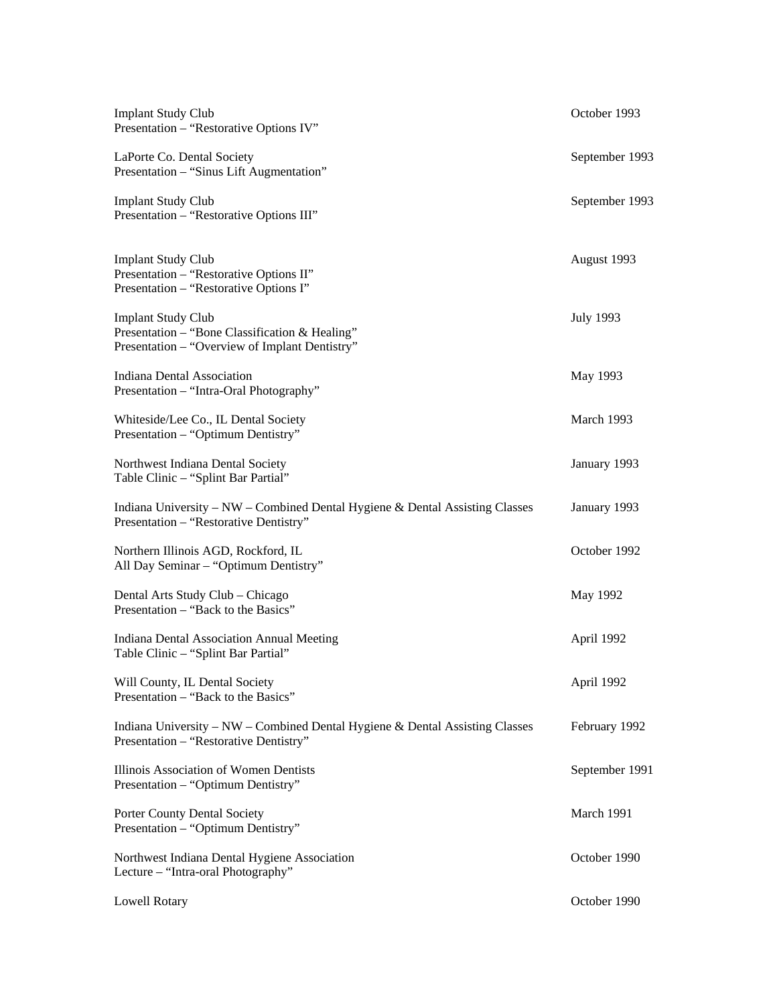| <b>Implant Study Club</b><br>Presentation - "Restorative Options IV"                                                          | October 1993     |
|-------------------------------------------------------------------------------------------------------------------------------|------------------|
| LaPorte Co. Dental Society<br>Presentation - "Sinus Lift Augmentation"                                                        | September 1993   |
| <b>Implant Study Club</b><br>Presentation - "Restorative Options III"                                                         | September 1993   |
| <b>Implant Study Club</b><br>Presentation - "Restorative Options II"<br>Presentation - "Restorative Options I"                | August 1993      |
| <b>Implant Study Club</b><br>Presentation - "Bone Classification & Healing"<br>Presentation - "Overview of Implant Dentistry" | <b>July 1993</b> |
| <b>Indiana Dental Association</b><br>Presentation - "Intra-Oral Photography"                                                  | May 1993         |
| Whiteside/Lee Co., IL Dental Society<br>Presentation - "Optimum Dentistry"                                                    | March 1993       |
| Northwest Indiana Dental Society<br>Table Clinic - "Splint Bar Partial"                                                       | January 1993     |
| Indiana University – NW – Combined Dental Hygiene & Dental Assisting Classes<br>Presentation - "Restorative Dentistry"        | January 1993     |
| Northern Illinois AGD, Rockford, IL<br>All Day Seminar - "Optimum Dentistry"                                                  | October 1992     |
| Dental Arts Study Club - Chicago<br>Presentation – "Back to the Basics"                                                       | May 1992         |
| Indiana Dental Association Annual Meeting<br>Table Clinic - "Splint Bar Partial"                                              | April 1992       |
| Will County, IL Dental Society<br>Presentation – "Back to the Basics"                                                         | April 1992       |
| Indiana University – NW – Combined Dental Hygiene & Dental Assisting Classes<br>Presentation - "Restorative Dentistry"        | February 1992    |
| Illinois Association of Women Dentists<br>Presentation - "Optimum Dentistry"                                                  | September 1991   |
| Porter County Dental Society<br>Presentation - "Optimum Dentistry"                                                            | March 1991       |
| Northwest Indiana Dental Hygiene Association<br>Lecture - "Intra-oral Photography"                                            | October 1990     |
| <b>Lowell Rotary</b>                                                                                                          | October 1990     |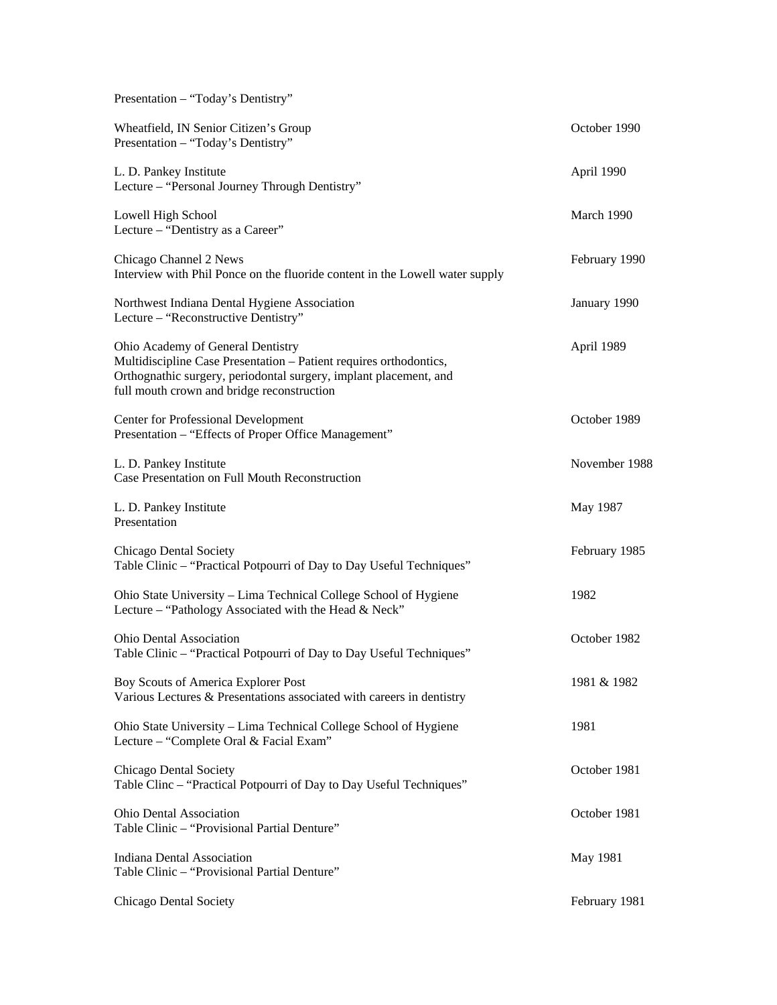| Presentation - "Today's Dentistry"                                                                                                                                                                                         |               |
|----------------------------------------------------------------------------------------------------------------------------------------------------------------------------------------------------------------------------|---------------|
| Wheatfield, IN Senior Citizen's Group<br>Presentation - "Today's Dentistry"                                                                                                                                                | October 1990  |
| L. D. Pankey Institute<br>Lecture - "Personal Journey Through Dentistry"                                                                                                                                                   | April 1990    |
| Lowell High School<br>Lecture – "Dentistry as a Career"                                                                                                                                                                    | March 1990    |
| Chicago Channel 2 News<br>Interview with Phil Ponce on the fluoride content in the Lowell water supply                                                                                                                     | February 1990 |
| Northwest Indiana Dental Hygiene Association<br>Lecture - "Reconstructive Dentistry"                                                                                                                                       | January 1990  |
| Ohio Academy of General Dentistry<br>Multidiscipline Case Presentation - Patient requires orthodontics,<br>Orthognathic surgery, periodontal surgery, implant placement, and<br>full mouth crown and bridge reconstruction | April 1989    |
| Center for Professional Development<br>Presentation - "Effects of Proper Office Management"                                                                                                                                | October 1989  |
| L. D. Pankey Institute<br>Case Presentation on Full Mouth Reconstruction                                                                                                                                                   | November 1988 |
| L. D. Pankey Institute<br>Presentation                                                                                                                                                                                     | May 1987      |
| Chicago Dental Society<br>Table Clinic - "Practical Potpourri of Day to Day Useful Techniques"                                                                                                                             | February 1985 |
| Ohio State University - Lima Technical College School of Hygiene<br>Lecture - "Pathology Associated with the Head & Neck"                                                                                                  | 1982          |
| <b>Ohio Dental Association</b><br>Table Clinic - "Practical Potpourri of Day to Day Useful Techniques"                                                                                                                     | October 1982  |
| Boy Scouts of America Explorer Post<br>Various Lectures & Presentations associated with careers in dentistry                                                                                                               | 1981 & 1982   |
| Ohio State University - Lima Technical College School of Hygiene<br>Lecture - "Complete Oral & Facial Exam"                                                                                                                | 1981          |
| Chicago Dental Society<br>Table Clinc - "Practical Potpourri of Day to Day Useful Techniques"                                                                                                                              | October 1981  |
| <b>Ohio Dental Association</b><br>Table Clinic - "Provisional Partial Denture"                                                                                                                                             | October 1981  |
| <b>Indiana Dental Association</b><br>Table Clinic - "Provisional Partial Denture"                                                                                                                                          | May 1981      |
| Chicago Dental Society                                                                                                                                                                                                     | February 1981 |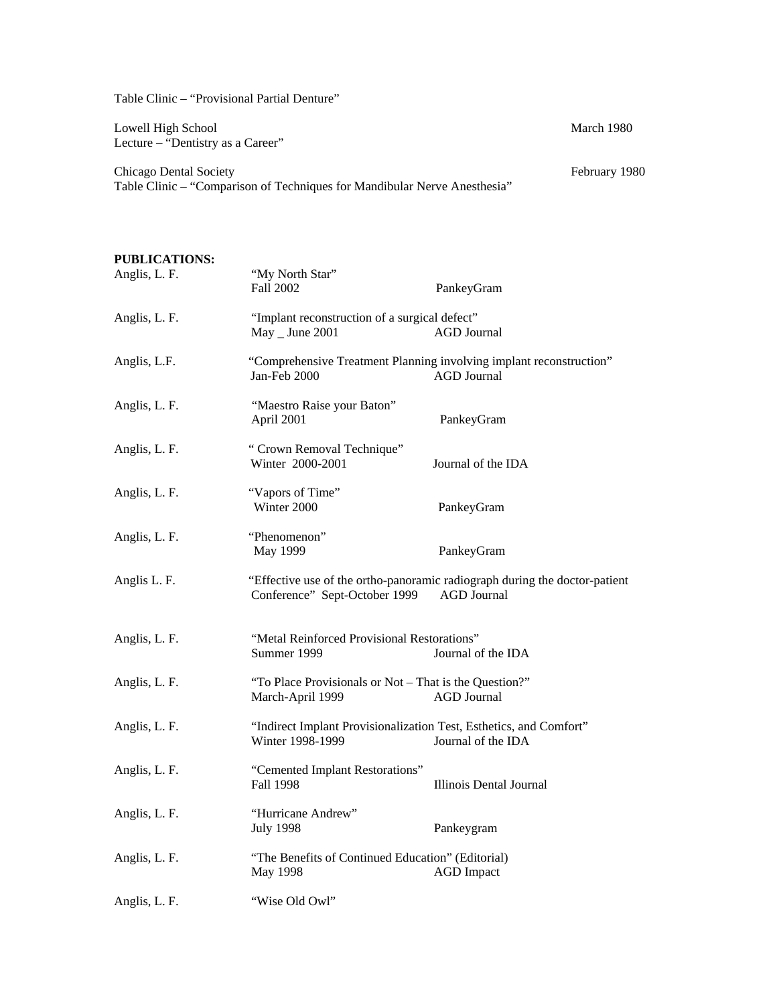Table Clinic – "Provisional Partial Denture"

Lowell High School March 1980 Lecture – "Dentistry as a Career"

Chicago Dental Society **February 1980** February 1980 Table Clinic – "Comparison of Techniques for Mandibular Nerve Anesthesia"

# **PUBLICATIONS:**  Anglis, L. F. "My North Star" Fall 2002 PankeyGram Anglis, L. F. "Implant reconstruction of a surgical defect" May \_ June 2001 <br>AGD Journal Anglis, L.F. "Comprehensive Treatment Planning involving implant reconstruction" Jan-Feb 2000 AGD Journal Anglis, L. F. "Maestro Raise your Baton" April 2001 PankeyGram Anglis, L. F. " Crown Removal Technique" Winter 2000-2001 Journal of the IDA Anglis, L. F. "Vapors of Time" Winter 2000 PankeyGram Anglis, L. F. "Phenomenon" May 1999 PankeyGram Anglis L. F. "Effective use of the ortho-panoramic radiograph during the doctor-patient Conference" Sept-October 1999 AGD Journal Anglis, L. F. "Metal Reinforced Provisional Restorations" Summer 1999 Journal of the IDA Anglis, L. F. "To Place Provisionals or Not – That is the Question?" March-April 1999 AGD Journal Anglis, L. F. "Indirect Implant Provisionalization Test, Esthetics, and Comfort" Winter 1998-1999 Journal of the IDA Anglis, L. F. "Cemented Implant Restorations" Fall 1998 **Illinois Dental Journal** Anglis, L. F. "Hurricane Andrew" July 1998 Pankeygram Anglis, L. F. "The Benefits of Continued Education" (Editorial) May 1998 **AGD** Impact Anglis, L. F. "Wise Old Owl"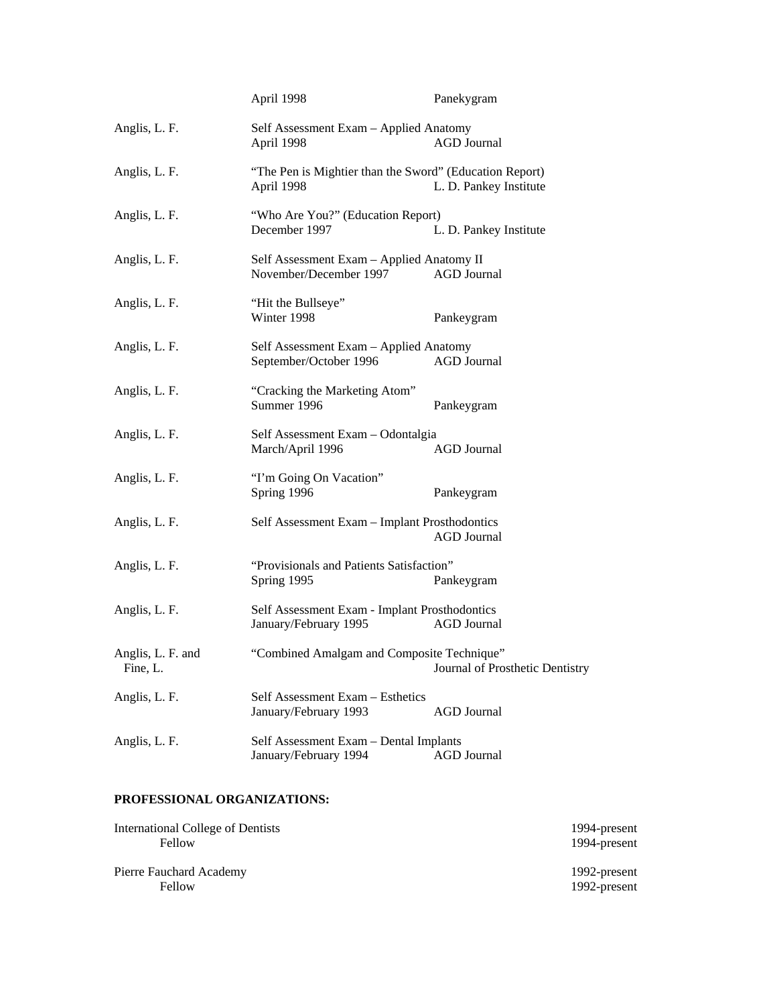|                               | April 1998                                                             | Panekygram                      |
|-------------------------------|------------------------------------------------------------------------|---------------------------------|
| Anglis, L. F.                 | Self Assessment Exam - Applied Anatomy<br>April 1998                   | <b>AGD</b> Journal              |
| Anglis, L. F.                 | "The Pen is Mightier than the Sword" (Education Report)<br>April 1998  | L. D. Pankey Institute          |
| Anglis, L. F.                 | "Who Are You?" (Education Report)<br>December 1997                     | L. D. Pankey Institute          |
| Anglis, L. F.                 | Self Assessment Exam - Applied Anatomy II<br>November/December 1997    | <b>AGD</b> Journal              |
| Anglis, L. F.                 | "Hit the Bullseye"<br>Winter 1998                                      | Pankeygram                      |
| Anglis, L. F.                 | Self Assessment Exam - Applied Anatomy<br>September/October 1996       | <b>AGD</b> Journal              |
| Anglis, L. F.                 | "Cracking the Marketing Atom"<br>Summer 1996                           | Pankeygram                      |
| Anglis, L. F.                 | Self Assessment Exam - Odontalgia<br>March/April 1996                  | <b>AGD</b> Journal              |
| Anglis, L. F.                 | "I'm Going On Vacation"<br>Spring 1996                                 | Pankeygram                      |
| Anglis, L. F.                 | Self Assessment Exam - Implant Prosthodontics                          | <b>AGD</b> Journal              |
| Anglis, L. F.                 | "Provisionals and Patients Satisfaction"<br>Spring 1995                | Pankeygram                      |
| Anglis, L. F.                 | Self Assessment Exam - Implant Prosthodontics<br>January/February 1995 | <b>AGD</b> Journal              |
| Anglis, L. F. and<br>Fine, L. | "Combined Amalgam and Composite Technique"                             | Journal of Prosthetic Dentistry |
| Anglis, L. F.                 | Self Assessment Exam - Esthetics<br>January/February 1993              | <b>AGD</b> Journal              |
| Anglis, L. F.                 | Self Assessment Exam - Dental Implants<br>January/February 1994        | <b>AGD</b> Journal              |

## **PROFESSIONAL ORGANIZATIONS:**

| International College of Dentists | 1994-present |
|-----------------------------------|--------------|
| Fellow                            | 1994-present |
| Pierre Fauchard Academy           | 1992-present |
| Fellow                            | 1992-present |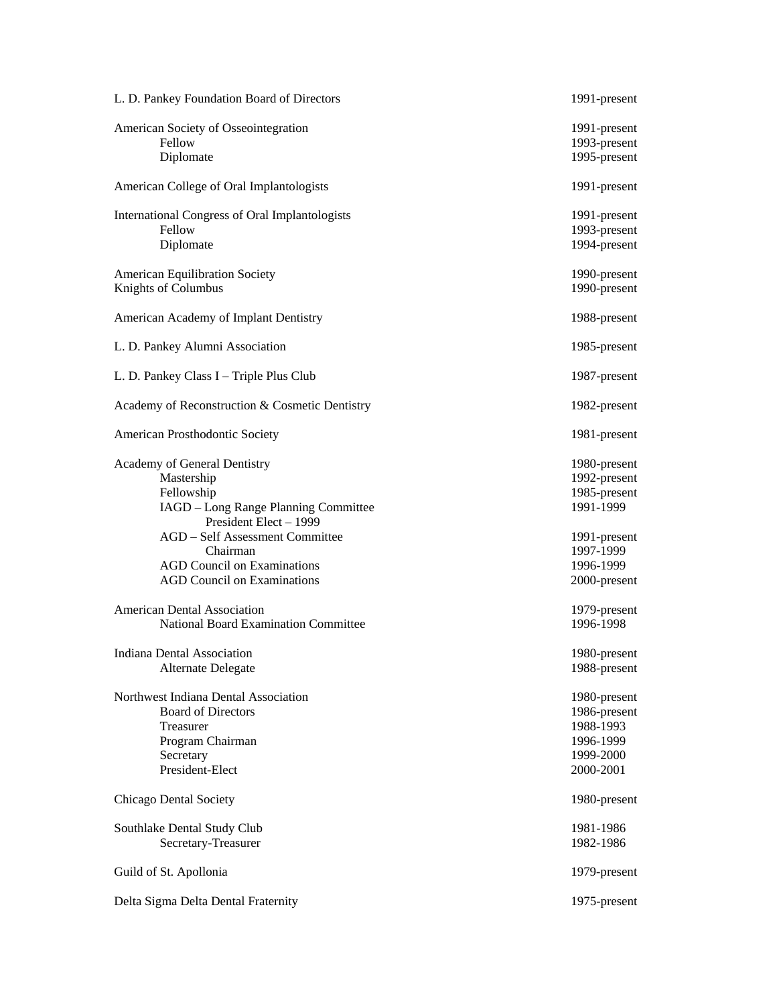| L. D. Pankey Foundation Board of Directors                                                                                                                           | 1991-present                                                                     |
|----------------------------------------------------------------------------------------------------------------------------------------------------------------------|----------------------------------------------------------------------------------|
| American Society of Osseointegration<br>Fellow<br>Diplomate                                                                                                          | 1991-present<br>1993-present<br>1995-present                                     |
| American College of Oral Implantologists                                                                                                                             | 1991-present                                                                     |
| International Congress of Oral Implantologists<br>Fellow<br>Diplomate                                                                                                | 1991-present<br>1993-present<br>1994-present                                     |
| <b>American Equilibration Society</b><br>Knights of Columbus                                                                                                         | 1990-present<br>1990-present                                                     |
| American Academy of Implant Dentistry                                                                                                                                | 1988-present                                                                     |
| L. D. Pankey Alumni Association                                                                                                                                      | 1985-present                                                                     |
| L. D. Pankey Class I - Triple Plus Club                                                                                                                              | 1987-present                                                                     |
| Academy of Reconstruction & Cosmetic Dentistry                                                                                                                       | 1982-present                                                                     |
| American Prosthodontic Society                                                                                                                                       | 1981-present                                                                     |
| Academy of General Dentistry<br>Mastership<br>Fellowship<br>IAGD - Long Range Planning Committee<br>President Elect - 1999<br><b>AGD</b> - Self Assessment Committee | 1980-present<br>1992-present<br>1985-present<br>1991-1999<br>1991-present        |
| Chairman<br><b>AGD Council on Examinations</b><br><b>AGD Council on Examinations</b>                                                                                 | 1997-1999<br>1996-1999<br>2000-present                                           |
| <b>American Dental Association</b><br><b>National Board Examination Committee</b>                                                                                    | 1979-present<br>1996-1998                                                        |
| Indiana Dental Association<br>Alternate Delegate                                                                                                                     | 1980-present<br>1988-present                                                     |
| Northwest Indiana Dental Association<br><b>Board of Directors</b><br>Treasurer<br>Program Chairman<br>Secretary<br>President-Elect                                   | 1980-present<br>1986-present<br>1988-1993<br>1996-1999<br>1999-2000<br>2000-2001 |
| Chicago Dental Society                                                                                                                                               | 1980-present                                                                     |
| Southlake Dental Study Club<br>Secretary-Treasurer                                                                                                                   | 1981-1986<br>1982-1986                                                           |
| Guild of St. Apollonia                                                                                                                                               | 1979-present                                                                     |
| Delta Sigma Delta Dental Fraternity                                                                                                                                  | 1975-present                                                                     |